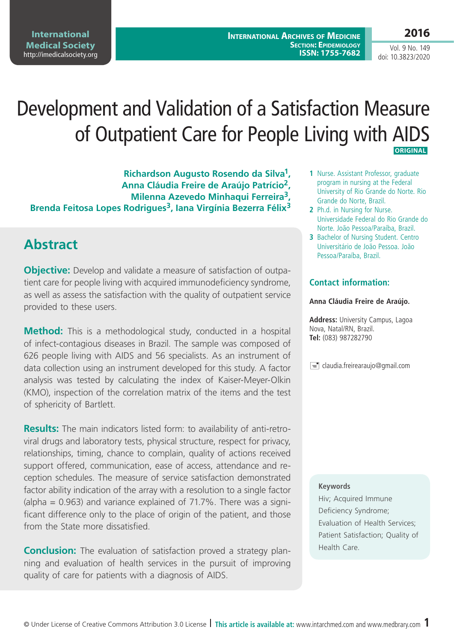**2016**

Vol. 9 No. 149 doi: 10.3823/2020

# Development and Validation of a Satisfaction Measure of Outpatient Care for People Living with AIDS  **ORIGINAL**

**Richardson Augusto Rosendo da Silva1, Anna Cláudia Freire de Araújo Patrício2, Milenna Azevedo Minhaqui Ferreira3, Brenda Feitosa Lopes Rodrigues3, Iana Virgínia Bezerra Félix3**

## **Abstract**

**Objective:** Develop and validate a measure of satisfaction of outpatient care for people living with acquired immunodeficiency syndrome, as well as assess the satisfaction with the quality of outpatient service provided to these users.

**Method:** This is a methodological study, conducted in a hospital of infect-contagious diseases in Brazil. The sample was composed of 626 people living with AIDS and 56 specialists. As an instrument of data collection using an instrument developed for this study. A factor analysis was tested by calculating the index of Kaiser-Meyer-Olkin (KMO), inspection of the correlation matrix of the items and the test of sphericity of Bartlett.

**Results:** The main indicators listed form: to availability of anti-retroviral drugs and laboratory tests, physical structure, respect for privacy, relationships, timing, chance to complain, quality of actions received support offered, communication, ease of access, attendance and reception schedules. The measure of service satisfaction demonstrated factor ability indication of the array with a resolution to a single factor (alpha  $= 0.963$ ) and variance explained of 71.7%. There was a significant difference only to the place of origin of the patient, and those from the State more dissatisfied.

**Conclusion:** The evaluation of satisfaction proved a strategy planning and evaluation of health services in the pursuit of improving quality of care for patients with a diagnosis of AIDS.

- **1** Nurse. Assistant Professor, graduate program in nursing at the Federal University of Rio Grande do Norte. Rio Grande do Norte, Brazil.
- **2** Ph.d. in Nursing for Nurse. Universidade Federal do Rio Grande do Norte. João Pessoa/Paraíba, Brazil.
- **3** Bachelor of Nursing Student. Centro Universitário de João Pessoa. João Pessoa/Paraíba, Brazil.

#### **Contact information:**

#### **Anna Cláudia Freire de Araújo.**

**Address:** University Campus, Lagoa Nova, Natal/RN, Brazil. **Tel:** (083) 987282790

 $\equiv$  claudia.freirearaujo@gmail.com

#### **Keywords**

Hiv; Acquired Immune Deficiency Syndrome; Evaluation of Health Services; Patient Satisfaction; Quality of Health Care.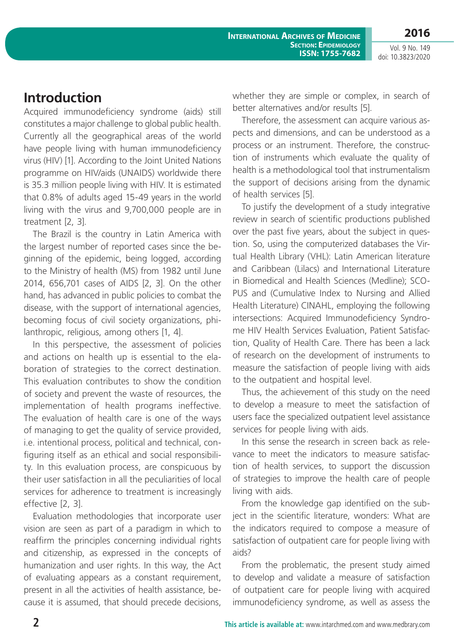Vol. 9 No. 149 doi: 10.3823/2020

**2016**

### **Introduction**

Acquired immunodeficiency syndrome (aids) still constitutes a major challenge to global public health. Currently all the geographical areas of the world have people living with human immunodeficiency virus (HIV) [1]. According to the Joint United Nations programme on HIV/aids (UNAIDS) worldwide there is 35.3 million people living with HIV. It is estimated that 0.8% of adults aged 15-49 years in the world living with the virus and 9,700,000 people are in treatment [2, 3].

The Brazil is the country in Latin America with the largest number of reported cases since the beginning of the epidemic, being logged, according to the Ministry of health (MS) from 1982 until June 2014, 656,701 cases of AIDS [2, 3]. On the other hand, has advanced in public policies to combat the disease, with the support of international agencies, becoming focus of civil society organizations, philanthropic, religious, among others [1, 4].

In this perspective, the assessment of policies and actions on health up is essential to the elaboration of strategies to the correct destination. This evaluation contributes to show the condition of society and prevent the waste of resources, the implementation of health programs ineffective. The evaluation of health care is one of the ways of managing to get the quality of service provided, i.e. intentional process, political and technical, configuring itself as an ethical and social responsibility. In this evaluation process, are conspicuous by their user satisfaction in all the peculiarities of local services for adherence to treatment is increasingly effective [2, 3].

Evaluation methodologies that incorporate user vision are seen as part of a paradigm in which to reaffirm the principles concerning individual rights and citizenship, as expressed in the concepts of humanization and user rights. In this way, the Act of evaluating appears as a constant requirement, present in all the activities of health assistance, because it is assumed, that should precede decisions, whether they are simple or complex, in search of better alternatives and/or results [5].

Therefore, the assessment can acquire various aspects and dimensions, and can be understood as a process or an instrument. Therefore, the construction of instruments which evaluate the quality of health is a methodological tool that instrumentalism the support of decisions arising from the dynamic of health services [5].

To justify the development of a study integrative review in search of scientific productions published over the past five years, about the subject in question. So, using the computerized databases the Virtual Health Library (VHL): Latin American literature and Caribbean (Lilacs) and International Literature in Biomedical and Health Sciences (Medline); SCO-PUS and (Cumulative Index to Nursing and Allied Health Literature) CINAHL, employing the following intersections: Acquired Immunodeficiency Syndrome HIV Health Services Evaluation, Patient Satisfaction, Quality of Health Care. There has been a lack of research on the development of instruments to measure the satisfaction of people living with aids to the outpatient and hospital level.

Thus, the achievement of this study on the need to develop a measure to meet the satisfaction of users face the specialized outpatient level assistance services for people living with aids.

In this sense the research in screen back as relevance to meet the indicators to measure satisfaction of health services, to support the discussion of strategies to improve the health care of people living with aids.

From the knowledge gap identified on the subject in the scientific literature, wonders: What are the indicators required to compose a measure of satisfaction of outpatient care for people living with aids?

From the problematic, the present study aimed to develop and validate a measure of satisfaction of outpatient care for people living with acquired immunodeficiency syndrome, as well as assess the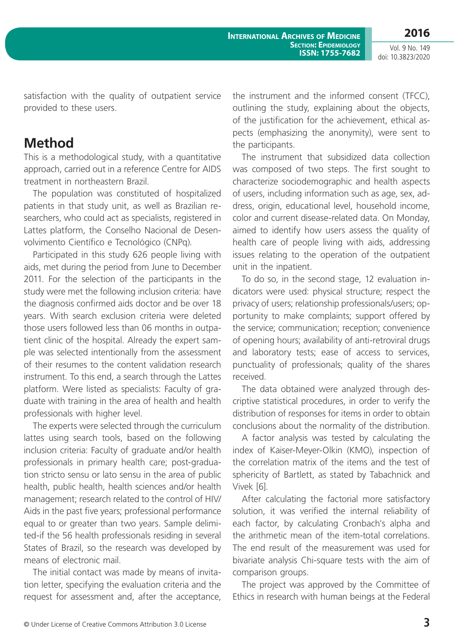Vol. 9 No. 149 doi: 10.3823/2020

satisfaction with the quality of outpatient service provided to these users.

#### **Method**

This is a methodological study, with a quantitative approach, carried out in a reference Centre for AIDS treatment in northeastern Brazil.

The population was constituted of hospitalized patients in that study unit, as well as Brazilian researchers, who could act as specialists, registered in Lattes platform, the Conselho Nacional de Desenvolvimento Científico e Tecnológico (CNPq).

Participated in this study 626 people living with aids, met during the period from June to December 2011. For the selection of the participants in the study were met the following inclusion criteria: have the diagnosis confirmed aids doctor and be over 18 years. With search exclusion criteria were deleted those users followed less than 06 months in outpatient clinic of the hospital. Already the expert sample was selected intentionally from the assessment of their resumes to the content validation research instrument. To this end, a search through the Lattes platform. Were listed as specialists: Faculty of graduate with training in the area of health and health professionals with higher level.

The experts were selected through the curriculum lattes using search tools, based on the following inclusion criteria: Faculty of graduate and/or health professionals in primary health care; post-graduation stricto sensu or lato sensu in the area of public health, public health, health sciences and/or health management; research related to the control of HIV/ Aids in the past five years; professional performance equal to or greater than two years. Sample delimited-if the 56 health professionals residing in several States of Brazil, so the research was developed by means of electronic mail.

The initial contact was made by means of invitation letter, specifying the evaluation criteria and the request for assessment and, after the acceptance, the instrument and the informed consent (TFCC), outlining the study, explaining about the objects, of the justification for the achievement, ethical aspects (emphasizing the anonymity), were sent to the participants.

The instrument that subsidized data collection was composed of two steps. The first sought to characterize sociodemographic and health aspects of users, including information such as age, sex, address, origin, educational level, household income, color and current disease-related data. On Monday, aimed to identify how users assess the quality of health care of people living with aids, addressing issues relating to the operation of the outpatient unit in the inpatient.

To do so, in the second stage, 12 evaluation indicators were used: physical structure; respect the privacy of users; relationship professionals/users; opportunity to make complaints; support offered by the service; communication; reception; convenience of opening hours; availability of anti-retroviral drugs and laboratory tests; ease of access to services, punctuality of professionals; quality of the shares received.

The data obtained were analyzed through descriptive statistical procedures, in order to verify the distribution of responses for items in order to obtain conclusions about the normality of the distribution.

A factor analysis was tested by calculating the index of Kaiser-Meyer-Olkin (KMO), inspection of the correlation matrix of the items and the test of sphericity of Bartlett, as stated by Tabachnick and Vivek [6].

After calculating the factorial more satisfactory solution, it was verified the internal reliability of each factor, by calculating Cronbach's alpha and the arithmetic mean of the item-total correlations. The end result of the measurement was used for bivariate analysis Chi-square tests with the aim of comparison groups.

The project was approved by the Committee of Ethics in research with human beings at the Federal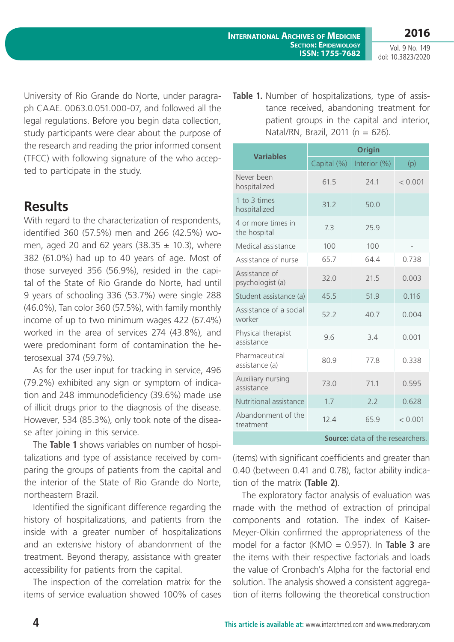**2016** Vol. 9 No. 149

doi: 10.3823/2020

University of Rio Grande do Norte, under paragraph CAAE. 0063.0.051.000-07, and followed all the legal regulations. Before you begin data collection, study participants were clear about the purpose of the research and reading the prior informed consent (TFCC) with following signature of the who accepted to participate in the study.

#### **Results**

With regard to the characterization of respondents, identified 360 (57.5%) men and 266 (42.5%) women, aged 20 and 62 years (38.35  $\pm$  10.3), where 382 (61.0%) had up to 40 years of age. Most of those surveyed 356 (56.9%), resided in the capital of the State of Rio Grande do Norte, had until 9 years of schooling 336 (53.7%) were single 288 (46.0%), Tan color 360 (57.5%), with family monthly income of up to two minimum wages 422 (67.4%) worked in the area of services 274 (43.8%), and were predominant form of contamination the heterosexual 374 (59.7%).

As for the user input for tracking in service, 496 (79.2%) exhibited any sign or symptom of indication and 248 immunodeficiency (39.6%) made use of illicit drugs prior to the diagnosis of the disease. However, 534 (85.3%), only took note of the disease after joining in this service.

The **Table 1** shows variables on number of hospitalizations and type of assistance received by comparing the groups of patients from the capital and the interior of the State of Rio Grande do Norte, northeastern Brazil.

Identified the significant difference regarding the history of hospitalizations, and patients from the inside with a greater number of hospitalizations and an extensive history of abandonment of the treatment. Beyond therapy, assistance with greater accessibility for patients from the capital.

The inspection of the correlation matrix for the items of service evaluation showed 100% of cases **Table 1.** Number of hospitalizations, type of assistance received, abandoning treatment for patient groups in the capital and interior, Natal/RN, Brazil, 2011 ( $n = 626$ ).

|                                         | <b>Origin</b> |              |         |  |  |  |
|-----------------------------------------|---------------|--------------|---------|--|--|--|
| <b>Variables</b>                        | Capital (%)   | Interior (%) | (p)     |  |  |  |
| Never been<br>hospitalized              | 61.5          | 741          | < 0.001 |  |  |  |
| 1 to 3 times<br>hospitalized            | 31.2<br>50.0  |              |         |  |  |  |
| 4 or more times in<br>the hospital      | 7.3           | 25.9         |         |  |  |  |
| Medical assistance                      | 100           | 100          |         |  |  |  |
| Assistance of nurse                     | 65.7          | 64.4         | 0.738   |  |  |  |
| Assistance of<br>psychologist (a)       | 32.0          | 21.5         | 0.003   |  |  |  |
| Student assistance (a)                  | 45.5          | 51.9         | 0.116   |  |  |  |
| Assistance of a social<br>worker        | 52.2          | 40.7         | 0.004   |  |  |  |
| Physical therapist<br>assistance        | 9.6           | 3.4          | 0.001   |  |  |  |
| Pharmaceutical<br>assistance (a)        | 80.9          | 77.8         | 0.338   |  |  |  |
| Auxiliary nursing<br>assistance         | 73.0          | 71.1         | 0.595   |  |  |  |
| Nutritional assistance                  | 1.7           | 2.2          | 0.628   |  |  |  |
| Abandonment of the<br>treatment         | 12.4          | 65.9         | < 0.001 |  |  |  |
| <b>Source:</b> data of the researchers. |               |              |         |  |  |  |

(items) with significant coefficients and greater than 0.40 (between 0.41 and 0.78), factor ability indication of the matrix **(Table 2)**.

The exploratory factor analysis of evaluation was made with the method of extraction of principal components and rotation. The index of Kaiser-Meyer-Olkin confirmed the appropriateness of the model for a factor (KMO = 0.957). In **Table 3** are the items with their respective factorials and loads the value of Cronbach's Alpha for the factorial end solution. The analysis showed a consistent aggregation of items following the theoretical construction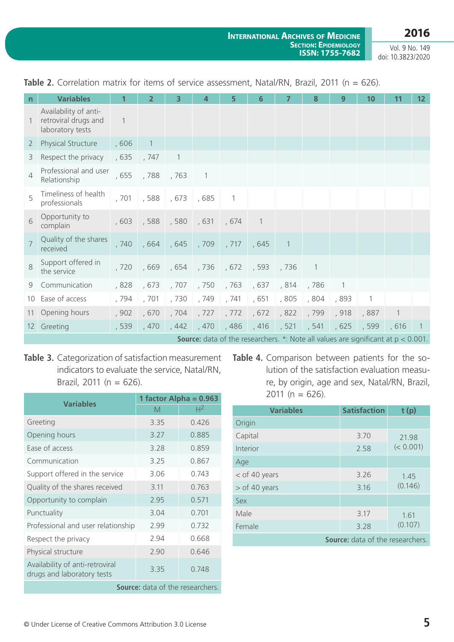**2016**

Vol. 9 No. 149 doi: 10.3823/2020

| n              | <b>Variables</b>                                                  |                | $\overline{2}$   | 3                                     | 4                        | 5               | 6            | 7              | 8              | 9     | 10             | 11    | $12 \overline{ }$ |
|----------------|-------------------------------------------------------------------|----------------|------------------|---------------------------------------|--------------------------|-----------------|--------------|----------------|----------------|-------|----------------|-------|-------------------|
| $\overline{1}$ | Availability of anti-<br>retroviral drugs and<br>laboratory tests | $\overline{1}$ |                  |                                       |                          |                 |              |                |                |       |                |       |                   |
| 2 <sup>1</sup> | Physical Structure                                                | ,606           | $\left  \right $ |                                       |                          |                 |              |                |                |       |                |       |                   |
| 3              | Respect the privacy                                               | , 635          | , 747            | $\mathbf{1}$                          |                          |                 |              |                |                |       |                |       |                   |
| $\overline{4}$ | Professional and user<br>Relationship                             | , 655          | , 788            | , 763                                 | $\overline{\phantom{0}}$ |                 |              |                |                |       |                |       |                   |
| 5              | Timeliness of health<br>professionals                             | , 701          | , 588            | , 673                                 | , 685                    | $\mathbf{1}$    |              |                |                |       |                |       |                   |
| 6              | Opportunity to<br>complain                                        | ,603           | , 588            | , 580, 631                            |                          | , 674           | $\mathbf{1}$ |                |                |       |                |       |                   |
| $\overline{7}$ | Quality of the shares<br>received                                 | , 740          | , 664            |                                       | , 645, 709, 717          |                 | , 645        | $\overline{1}$ |                |       |                |       |                   |
| 8              | Support offered in<br>the service                                 | , 720          | , 669            | $\vert$ , 654 , 736 , 672 , 593 , 736 |                          |                 |              |                | $\overline{1}$ |       |                |       |                   |
|                | 9 Communication                                                   | ,828           | , 673            | , 707                                 | , 750                    | , 763           | , 637        | , 814          | , 786          | -1    |                |       |                   |
|                | 10 Ease of access                                                 | , 794          | , 701            | , 730                                 | , 749                    | , 741           | , 651        | , 805          | , 804          | , 893 | $\overline{1}$ |       |                   |
|                | 11 Opening hours                                                  | , 902          | , 670            |                                       |                          | , 704, 727, 772 | ,672         | , 822          | , 799          | , 918 | , 887          | 1     |                   |
|                | 12 Greeting                                                       | , 539          | ,470             | ,442                                  | , 470                    | , 486           | $,416$ , 521 |                | , 541          | , 625 | , 599          | , 616 |                   |

Table 2. Correlation matrix for items of service assessment, Natal/RN, Brazil, 2011 (n = 626).

**Source:** data of the researchers. \*: Note all values are significant at  $p < 0.001$ .

**Table 3.** Categorization of satisfaction measurement indicators to evaluate the service, Natal/RN, Brazil, 2011 ( $n = 626$ ).

| <b>Variables</b>                                              | 1 factor Alpha = $0.963$ |                |  |  |  |
|---------------------------------------------------------------|--------------------------|----------------|--|--|--|
|                                                               | M                        | H <sup>2</sup> |  |  |  |
| Greeting                                                      | 3.35                     | 0.426          |  |  |  |
| Opening hours                                                 | 3.27                     | 0.885          |  |  |  |
| Ease of access                                                | 3.28                     | 0.859          |  |  |  |
| Communication                                                 | 3.25                     | 0.867          |  |  |  |
| Support offered in the service                                | 3.06                     | 0.743          |  |  |  |
| Quality of the shares received                                | 3.11                     | 0.763          |  |  |  |
| Opportunity to complain                                       | 2.95                     | 0.571          |  |  |  |
| Punctuality                                                   | 3.04                     | 0.701          |  |  |  |
| Professional and user relationship                            | 2.99                     | 0.732          |  |  |  |
| Respect the privacy                                           | 2.94                     | 0.668          |  |  |  |
| Physical structure                                            | 2.90                     | 0.646          |  |  |  |
| Availability of anti-retroviral<br>drugs and laboratory tests | 3.35                     | 0.748          |  |  |  |
| <b>Source:</b> data of the researchers.                       |                          |                |  |  |  |

**Table 4.** Comparison between patients for the solution of the satisfaction evaluation measure, by origin, age and sex, Natal/RN, Brazil, 2011 ( $n = 626$ ).

| <b>Variables</b>                        | <b>Satisfaction</b> | t(p)      |  |  |
|-----------------------------------------|---------------------|-----------|--|--|
| Origin                                  |                     |           |  |  |
| Capital                                 | 3.70                | 21.98     |  |  |
| Interior                                | 2.58                | (< 0.001) |  |  |
| Age                                     |                     |           |  |  |
| $<$ of 40 years                         | 3.26                | 1.45      |  |  |
| $>$ of 40 years                         | 3.16                | (0.146)   |  |  |
| Sex                                     |                     |           |  |  |
| Male                                    | 3.17                | 1.61      |  |  |
| Female                                  | 3.28                | (0.107)   |  |  |
| <b>Source:</b> data of the researchers. |                     |           |  |  |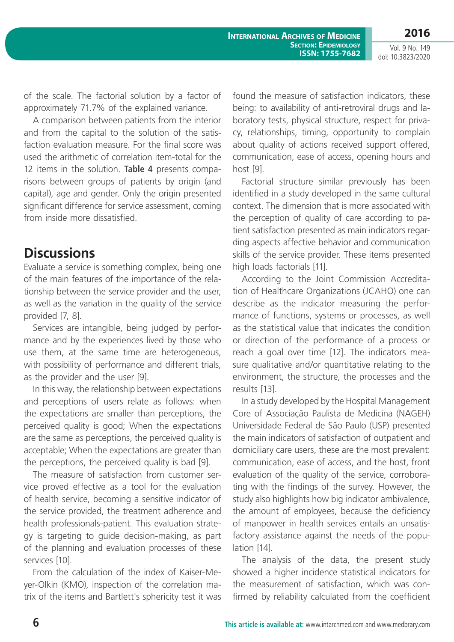**2016**

Vol. 9 No. 149 doi: 10.3823/2020

of the scale. The factorial solution by a factor of approximately 71.7% of the explained variance.

A comparison between patients from the interior and from the capital to the solution of the satisfaction evaluation measure. For the final score was used the arithmetic of correlation item-total for the 12 items in the solution. **Table 4** presents comparisons between groups of patients by origin (and capital), age and gender. Only the origin presented significant difference for service assessment, coming from inside more dissatisfied.

## **Discussions**

Evaluate a service is something complex, being one of the main features of the importance of the relationship between the service provider and the user, as well as the variation in the quality of the service provided [7, 8].

Services are intangible, being judged by performance and by the experiences lived by those who use them, at the same time are heterogeneous, with possibility of performance and different trials, as the provider and the user [9].

In this way, the relationship between expectations and perceptions of users relate as follows: when the expectations are smaller than perceptions, the perceived quality is good; When the expectations are the same as perceptions, the perceived quality is acceptable; When the expectations are greater than the perceptions, the perceived quality is bad [9].

The measure of satisfaction from customer service proved effective as a tool for the evaluation of health service, becoming a sensitive indicator of the service provided, the treatment adherence and health professionals-patient. This evaluation strategy is targeting to guide decision-making, as part of the planning and evaluation processes of these services [10].

From the calculation of the index of Kaiser-Meyer-Olkin (KMO), inspection of the correlation matrix of the items and Bartlett's sphericity test it was found the measure of satisfaction indicators, these being: to availability of anti-retroviral drugs and laboratory tests, physical structure, respect for privacy, relationships, timing, opportunity to complain about quality of actions received support offered, communication, ease of access, opening hours and host [9].

Factorial structure similar previously has been identified in a study developed in the same cultural context. The dimension that is more associated with the perception of quality of care according to patient satisfaction presented as main indicators regarding aspects affective behavior and communication skills of the service provider. These items presented high loads factorials [11].

According to the Joint Commission Accreditation of Healthcare Organizations (JCAHO) one can describe as the indicator measuring the performance of functions, systems or processes, as well as the statistical value that indicates the condition or direction of the performance of a process or reach a goal over time [12]. The indicators measure qualitative and/or quantitative relating to the environment, the structure, the processes and the results [13].

In a study developed by the Hospital Management Core of Associação Paulista de Medicina (NAGEH) Universidade Federal de São Paulo (USP) presented the main indicators of satisfaction of outpatient and domiciliary care users, these are the most prevalent: communication, ease of access, and the host, front evaluation of the quality of the service, corroborating with the findings of the survey. However, the study also highlights how big indicator ambivalence, the amount of employees, because the deficiency of manpower in health services entails an unsatisfactory assistance against the needs of the population [14].

The analysis of the data, the present study showed a higher incidence statistical indicators for the measurement of satisfaction, which was confirmed by reliability calculated from the coefficient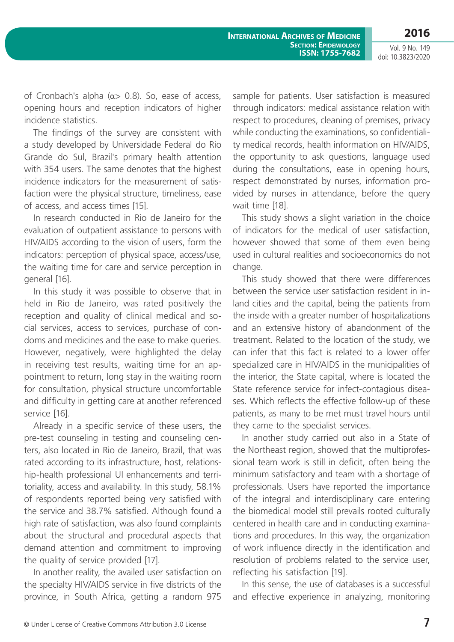**2016** Vol. 9 No. 149

doi: 10.3823/2020

of Cronbach's alpha (α> 0.8). So, ease of access, opening hours and reception indicators of higher incidence statistics.

The findings of the survey are consistent with a study developed by Universidade Federal do Rio Grande do Sul, Brazil's primary health attention with 354 users. The same denotes that the highest incidence indicators for the measurement of satisfaction were the physical structure, timeliness, ease of access, and access times [15].

In research conducted in Rio de Janeiro for the evaluation of outpatient assistance to persons with HIV/AIDS according to the vision of users, form the indicators: perception of physical space, access/use, the waiting time for care and service perception in general [16].

In this study it was possible to observe that in held in Rio de Janeiro, was rated positively the reception and quality of clinical medical and social services, access to services, purchase of condoms and medicines and the ease to make queries. However, negatively, were highlighted the delay in receiving test results, waiting time for an appointment to return, long stay in the waiting room for consultation, physical structure uncomfortable and difficulty in getting care at another referenced service [16].

Already in a specific service of these users, the pre-test counseling in testing and counseling centers, also located in Rio de Janeiro, Brazil, that was rated according to its infrastructure, host, relationship-health professional UI enhancements and territoriality, access and availability. In this study, 58.1% of respondents reported being very satisfied with the service and 38.7% satisfied. Although found a high rate of satisfaction, was also found complaints about the structural and procedural aspects that demand attention and commitment to improving the quality of service provided [17].

In another reality, the availed user satisfaction on the specialty HIV/AIDS service in five districts of the province, in South Africa, getting a random 975 sample for patients. User satisfaction is measured through indicators: medical assistance relation with respect to procedures, cleaning of premises, privacy while conducting the examinations, so confidentiality medical records, health information on HIV/AIDS, the opportunity to ask questions, language used during the consultations, ease in opening hours, respect demonstrated by nurses, information provided by nurses in attendance, before the query wait time [18].

This study shows a slight variation in the choice of indicators for the medical of user satisfaction, however showed that some of them even being used in cultural realities and socioeconomics do not change.

This study showed that there were differences between the service user satisfaction resident in inland cities and the capital, being the patients from the inside with a greater number of hospitalizations and an extensive history of abandonment of the treatment. Related to the location of the study, we can infer that this fact is related to a lower offer specialized care in HIV/AIDS in the municipalities of the interior, the State capital, where is located the State reference service for infect-contagious diseases. Which reflects the effective follow-up of these patients, as many to be met must travel hours until they came to the specialist services.

In another study carried out also in a State of the Northeast region, showed that the multiprofessional team work is still in deficit, often being the minimum satisfactory and team with a shortage of professionals. Users have reported the importance of the integral and interdisciplinary care entering the biomedical model still prevails rooted culturally centered in health care and in conducting examinations and procedures. In this way, the organization of work influence directly in the identification and resolution of problems related to the service user, reflecting his satisfaction [19].

In this sense, the use of databases is a successful and effective experience in analyzing, monitoring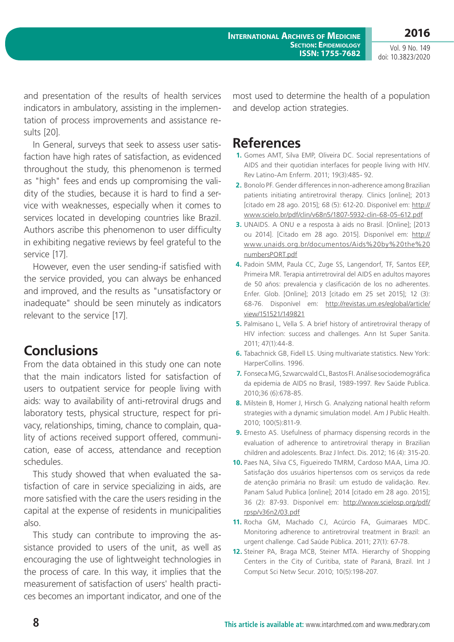Vol. 9 No. 149 doi: 10.3823/2020

**2016**

and presentation of the results of health services indicators in ambulatory, assisting in the implementation of process improvements and assistance results [20].

In General, surveys that seek to assess user satisfaction have high rates of satisfaction, as evidenced throughout the study, this phenomenon is termed as "high" fees and ends up compromising the validity of the studies, because it is hard to find a service with weaknesses, especially when it comes to services located in developing countries like Brazil. Authors ascribe this phenomenon to user difficulty in exhibiting negative reviews by feel grateful to the service [17].

However, even the user sending-if satisfied with the service provided, you can always be enhanced and improved, and the results as "unsatisfactory or inadequate" should be seen minutely as indicators relevant to the service [17].

### **Conclusions**

From the data obtained in this study one can note that the main indicators listed for satisfaction of users to outpatient service for people living with aids: way to availability of anti-retroviral drugs and laboratory tests, physical structure, respect for privacy, relationships, timing, chance to complain, quality of actions received support offered, communication, ease of access, attendance and reception schedules.

This study showed that when evaluated the satisfaction of care in service specializing in aids, are more satisfied with the care the users residing in the capital at the expense of residents in municipalities also.

This study can contribute to improving the assistance provided to users of the unit, as well as encouraging the use of lightweight technologies in the process of care. In this way, it implies that the measurement of satisfaction of users' health practices becomes an important indicator, and one of the most used to determine the health of a population and develop action strategies.

#### **References**

- **1.** Gomes AMT, Silva EMP, Oliveira DC. Social representations of AIDS and their quotidian interfaces for people living with HIV. Rev Latino-Am Enferm. 2011; 19(3):485- 92.
- **2.** Bonolo PF. Gender differences in non-adherence among Brazilian patients initiating antiretroviral therapy. Clinics [online]; 2013 [citado em 28 ago. 2015]; 68 (5): 612-20. Disponível em: [http://](http://www.scielo.br/pdf/clin/v68n5/1807-5932-clin-68-05-612.pdf) [www.scielo.br/pdf/clin/v68n5/1807-5932-clin-68-05-612.pdf](http://www.scielo.br/pdf/clin/v68n5/1807-5932-clin-68-05-612.pdf)
- **3.** UNAIDS. A ONU e a resposta à aids no Brasil. [Online]; [2013 ou 2014]. [Citado em 28 ago. 2015]. Disponível em: [http://](http://www.unaids.org.br/documentos/Aids%20by%20the%20numbersPORT.pdf) [www.unaids.org.br/documentos/Aids%20by%20the%20](http://www.unaids.org.br/documentos/Aids%20by%20the%20numbersPORT.pdf) [numbersPORT.pdf](http://www.unaids.org.br/documentos/Aids%20by%20the%20numbersPORT.pdf)
- **4.** Padoin SMM, Paula CC, Zuge SS, Langendorf, TF, Santos EEP, Primeira MR. Terapia antirretroviral del AIDS en adultos mayores de 50 años: prevalencia y clasificación de los no adherentes. Enfer. Glob. [Online]; 2013 [citado em 25 set 2015]; 12 (3): 68-76. Disponível em: [http://revistas.um.es/eglobal/article/](http://revistas.um.es/eglobal/article/view/151521/149821) [view/151521/149821](http://revistas.um.es/eglobal/article/view/151521/149821)
- **5.** Palmisano L, Vella S. A brief history of antiretroviral therapy of HIV infection: success and challenges. Ann Ist Super Sanita. 2011; 47(1):44-8.
- **6.** Tabachnick GB, Fidell LS. Using multivariate statistics. New York: HarperCollins. 1996.
- **7.** Fonseca MG, Szwarcwald CL, Bastos FI. Análise sociodemográfica da epidemia de AIDS no Brasil, 1989-1997. Rev Saúde Publica. 2010;36 (6):678-85.
- **8.** Milstein B, Homer J, Hirsch G. Analyzing national health reform strategies with a dynamic simulation model. Am J Public Health. 2010; 100(5):811-9.
- **9.** Ernesto AS. Usefulness of pharmacy dispensing records in the evaluation of adherence to antiretroviral therapy in Brazilian children and adolescents. Braz J Infect. Dis. 2012; 16 (4): 315-20.
- **10.** Paes NA, Silva CS, Figueiredo TMRM, Cardoso MAA, Lima JO. Satisfação dos usuários hipertensos com os serviços da rede de atenção primária no Brasil: um estudo de validação. Rev. Panam Salud Publica [online]; 2014 [citado em 28 ago. 2015]; 36 (2): 87-93. Disponível em: [http://www.scielosp.org/pdf/](http://www.scielosp.org/pdf/rpsp/v36n2/03.pdf) [rpsp/v36n2/03.pdf](http://www.scielosp.org/pdf/rpsp/v36n2/03.pdf)
- **11.** Rocha GM, Machado CJ, Acúrcio FA, Guimaraes MDC. Monitoring adherence to antiretroviral treatment in Brazil: an urgent challenge. Cad Saúde Pública. 2011; 27(1): 67-78.
- **12.** Steiner PA, Braga MCB, Steiner MTA. Hierarchy of Shopping Centers in the City of Curitiba, state of Paraná, Brazil. Int J Comput Sci Netw Secur. 2010; 10(5):198-207.